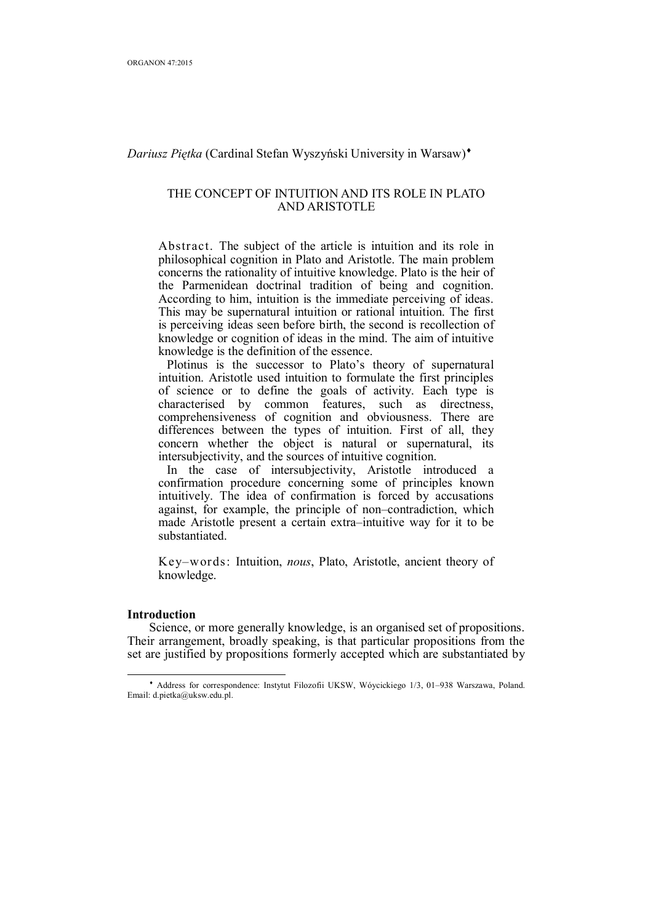# *Dariusz Piętka* (Cardinal Stefan Wyszyński University in Warsaw)

## THE CONCEPT OF INTUITION AND ITS ROLE IN PLATO AND ARISTOTLE

Abstract. The subject of the article is intuition and its role in philosophical cognition in Plato and Aristotle. The main problem concerns the rationality of intuitive knowledge. Plato is the heir of the Parmenidean doctrinal tradition of being and cognition. According to him, intuition is the immediate perceiving of ideas. This may be supernatural intuition or rational intuition. The first is perceiving ideas seen before birth, the second is recollection of knowledge or cognition of ideas in the mind. The aim of intuitive knowledge is the definition of the essence.

Plotinus is the successor to Plato's theory of supernatural intuition. Aristotle used intuition to formulate the first principles of science or to define the goals of activity. Each type is characterised by common features, such as directness, comprehensiveness of cognition and obviousness. There are differences between the types of intuition. First of all, they concern whether the object is natural or supernatural, its intersubjectivity, and the sources of intuitive cognition.

In the case of intersubjectivity, Aristotle introduced a confirmation procedure concerning some of principles known intuitively. The idea of confirmation is forced by accusations against, for example, the principle of non–contradiction, which made Aristotle present a certain extra–intuitive way for it to be substantiated.

Key–words: Intuition, *nous*, Plato, Aristotle, ancient theory of knowledge.

## **Introduction**

Science, or more generally knowledge, is an organised set of propositions. Their arrangement, broadly speaking, is that particular propositions from the set are justified by propositions formerly accepted which are substantiated by

 $\overline{a}$  Address for correspondence: Instytut Filozofii UKSW, Wóycickiego 1/3, 01–938 Warszawa, Poland. Email: d.pietka@uksw.edu.pl.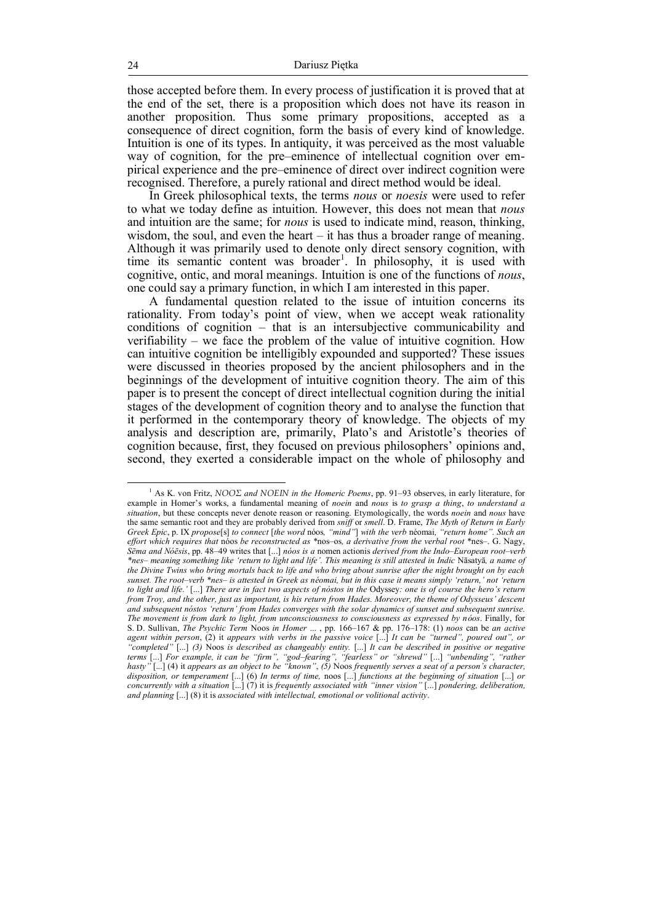those accepted before them. In every process of justification it is proved that at the end of the set, there is a proposition which does not have its reason in another proposition. Thus some primary propositions, accepted as a consequence of direct cognition, form the basis of every kind of knowledge. Intuition is one of its types. In antiquity, it was perceived as the most valuable way of cognition, for the pre–eminence of intellectual cognition over empirical experience and the pre–eminence of direct over indirect cognition were recognised. Therefore, a purely rational and direct method would be ideal.

In Greek philosophical texts, the terms *nous* or *noesis* were used to refer to what we today define as intuition. However, this does not mean that *nous* and intuition are the same; for *nous* is used to indicate mind, reason, thinking, wisdom, the soul, and even the heart – it has thus a broader range of meaning. Although it was primarily used to denote only direct sensory cognition, with time its semantic content was broader<sup>1</sup>. In philosophy, it is used with cognitive, ontic, and moral meanings. Intuition is one of the functions of *nous*, one could say a primary function, in which I am interested in this paper.

A fundamental question related to the issue of intuition concerns its rationality. From today's point of view, when we accept weak rationality conditions of cognition – that is an intersubjective communicability and verifiability – we face the problem of the value of intuitive cognition. How can intuitive cognition be intelligibly expounded and supported? These issues were discussed in theories proposed by the ancient philosophers and in the beginnings of the development of intuitive cognition theory. The aim of this paper is to present the concept of direct intellectual cognition during the initial stages of the development of cognition theory and to analyse the function that it performed in the contemporary theory of knowledge. The objects of my analysis and description are, primarily, Plato's and Aristotle's theories of cognition because, first, they focused on previous philosophers' opinions and, second, they exerted a considerable impact on the whole of philosophy and

<sup>1</sup> As K. von Fritz, *ΝΟΟΣ and ΝΟΕΙΝ in the Homeric Poems*, pp. 91–93 observes, in early literature, for example in Homer's works, a fundamental meaning of *noein* and *nous* is *to grasp a thing*, *to understand a situation*, but these concepts never denote reason or reasoning. Etymologically, the words *noein* and *nous* have the same semantic root and they are probably derived from *sniff* or *smell*. D. Frame, *The Myth of Return in Early Greek Epic*, p. IX *propose*[s] *to connect* [*the word* nóos*, "mind"*] *with the verb* néomai*, "return home". Such an effort which requires that* nóos *be reconstructed as* \*nos–os*, a derivative from the verbal root* \*nes–. G. Nagy, *Sēma and Nóēsis*, pp. 48–49 writes that [...] *nóos is a* nomen actionis *derived from the Indo–European root–verb \*nes– meaning something like 'return to light and life'. This meaning is still attested in Indic* Nāsatyā*, a name of the Divine Twins who bring mortals back to life and who bring about sunrise after the night brought on by each sunset. The root–verb \*nes– is attested in Greek as néomai, but in this case it means simply 'return,' not 'return to light and life.'* [...] *There are in fact two aspects of nóstos in the* Odyssey*: one is of course the hero's return from Troy, and the other, just as important, is his return from Hades. Moreover, the theme of Odysseus' descent and subsequent nóstos 'return' from Hades converges with the solar dynamics of sunset and subsequent sunrise. The movement is from dark to light, from unconsciousness to consciousness as expressed by nóos*. Finally, for S. D. Sullivan, *The Psychic Term* Noos *in Homer* ... , pp. 166–167 & pp. 176–178: (1) *noos* can be *an active agent within person*, (2) it *appears with verbs in the passive voice* [...] *It can be "turned", poured out", or "completed"* [...] *(3)* Noos *is described as changeably entity.* [...] *It can be described in positive or negative terms* [...] *For example, it can be "firm", "god–fearing", "fearless" or "shrewd"* [...] *"unbending", "rather hasty"* [...] (4) it *appears as an object to be "known"*, *(5)* Noos *frequently serves a seat of a person's character, disposition, or temperament* [...] (6) *In terms of time,* noos [...] *functions at the beginning of situation* [...] *or concurrently with a situation* [...] (7) it is *frequently associated with "inner vision"* [...] *pondering, deliberation, and planning* [...] (8) it is *associated with intellectual, emotional or volitional activity*.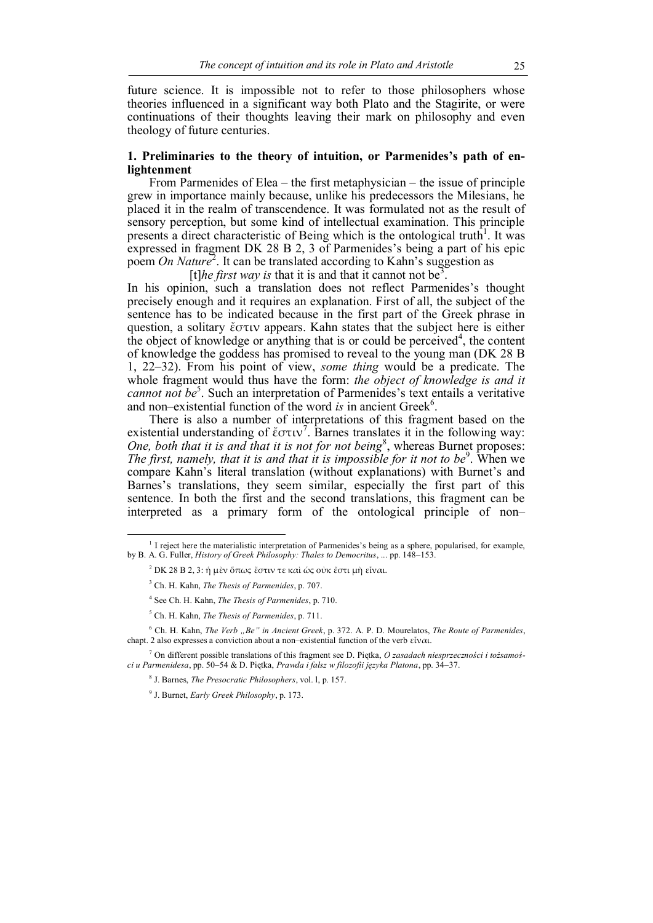future science. It is impossible not to refer to those philosophers whose theories influenced in a significant way both Plato and the Stagirite, or were continuations of their thoughts leaving their mark on philosophy and even theology of future centuries.

## **1. Preliminaries to the theory of intuition, or Parmenides's path of enlightenment**

From Parmenides of Elea – the first metaphysician – the issue of principle grew in importance mainly because, unlike his predecessors the Milesians, he placed it in the realm of transcendence. It was formulated not as the result of sensory perception, but some kind of intellectual examination. This principle presents a direct characteristic of Being which is the ontological truth<sup>1</sup>. It was expressed in fragment DK 28 B 2, 3 of Parmenides's being a part of his epic poem *On Nature*<sup>2</sup>. It can be translated according to Kahn's suggestion as

[t]*he first way is that it is and that it cannot not be*<sup>3</sup>.

In his opinion, such a translation does not reflect Parmenides's thought precisely enough and it requires an explanation. First of all, the subject of the sentence has to be indicated because in the first part of the Greek phrase in question, a solitary ἔστιν appears. Kahn states that the subject here is either the object of knowledge or anything that is or could be perceived<sup>4</sup>, the content of knowledge the goddess has promised to reveal to the young man (DK 28 B 1, 22–32). From his point of view, *some thing* would be a predicate. The whole fragment would thus have the form: *the object of knowledge is and it*  cannot not be<sup>5</sup>. Such an interpretation of Parmenides's text entails a veritative and non–existential function of the word *is* in ancient Greek<sup>6</sup>.

There is also a number of interpretations of this fragment based on the existential understanding of  $\zeta \sigma \tau \nu'$ . Barnes translates it in the following way: One, both that it is and that it is not for not being<sup>8</sup>, whereas Burnet proposes: *The first, namely, that it is and that it is impossible for it not to be*<sup>9</sup>. When we compare Kahn's literal translation (without explanations) with Burnet's and Barnes's translations, they seem similar, especially the first part of this sentence. In both the first and the second translations, this fragment can be interpreted as a primary form of the ontological principle of non–

<sup>&</sup>lt;sup>1</sup> I reject here the materialistic interpretation of Parmenides's being as a sphere, popularised, for example, by B. A. G. Fuller, *History of Greek Philosophy: Thales to Democritus*, ... pp. 148–153.

 $^2$  DK 28 B 2, 3: ή μὲν ὅπως ἔστιν τε καὶ ὡς οὐκ ἔστι μὴ εἶναι.

<sup>3</sup> Ch. H. Kahn, *The Thesis of Parmenides*, p. 707.

<sup>4</sup> See Ch. H. Kahn, *The Thesis of Parmenides*, p. 710.

<sup>5</sup> Ch. H. Kahn, *The Thesis of Parmenides*, p. 711.

<sup>6</sup> Ch. H. Kahn, *The Verb "Be" in Ancient Greek*, p. 372. A. P. D. Mourelatos, *The Route of Parmenides*, chapt. 2 also expresses a conviction about a non–existential function of the verb εἶναι.

<sup>7</sup> On different possible translations of this fragment see D. Piętka, *O zasadach niesprzeczności i tożsamości u Parmenidesa*, pp. 50–54 & D. Piętka, *Prawda i fałsz w filozofii języka Platona*, pp. 34–37.

<sup>8</sup> J. Barnes, *The Presocratic Philosophers*, vol. l, p. 157.

<sup>9</sup> J. Burnet, *Early Greek Philosophy*, p. 173.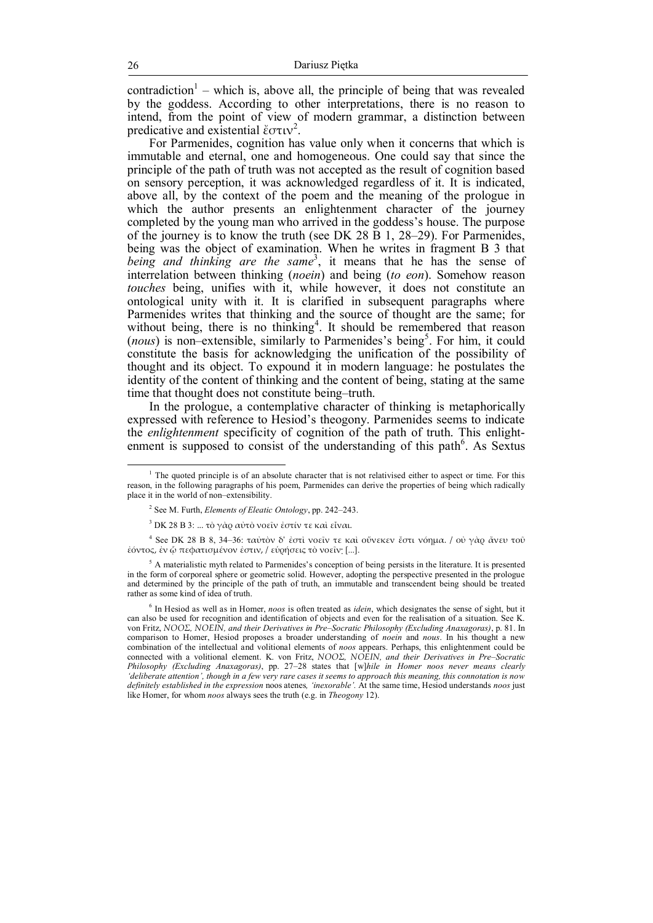contradiction<sup>1</sup> – which is, above all, the principle of being that was revealed by the goddess. According to other interpretations, there is no reason to intend, from the point of view of modern grammar, a distinction between predicative and existential  $\epsilon \sigma \tau \nu^2$ .

For Parmenides, cognition has value only when it concerns that which is immutable and eternal, one and homogeneous. One could say that since the principle of the path of truth was not accepted as the result of cognition based on sensory perception, it was acknowledged regardless of it. It is indicated, above all, by the context of the poem and the meaning of the prologue in which the author presents an enlightenment character of the journey completed by the young man who arrived in the goddess's house. The purpose of the journey is to know the truth (see DK 28 B 1, 28–29). For Parmenides, being was the object of examination. When he writes in fragment B 3 that being and thinking are the same<sup>3</sup>, it means that he has the sense of interrelation between thinking (*noein*) and being (*to eon*). Somehow reason *touches* being, unifies with it, while however, it does not constitute an ontological unity with it. It is clarified in subsequent paragraphs where Parmenides writes that thinking and the source of thought are the same; for without being, there is no thinking<sup>4</sup>. It should be remembered that reason (*nous*) is non–extensible, similarly to Parmenides's being<sup>5</sup>. For him, it could constitute the basis for acknowledging the unification of the possibility of thought and its object. To expound it in modern language: he postulates the identity of the content of thinking and the content of being, stating at the same time that thought does not constitute being–truth.

In the prologue, a contemplative character of thinking is metaphorically expressed with reference to Hesiod's theogony. Parmenides seems to indicate the *enlightenment* specificity of cognition of the path of truth. This enlightenment is supposed to consist of the understanding of this path<sup>6</sup>. As Sextus

<sup>5</sup> A materialistic myth related to Parmenides's conception of being persists in the literature. It is presented in the form of corporeal sphere or geometric solid. However, adopting the perspective presented in the prologue and determined by the principle of the path of truth, an immutable and transcendent being should be treated rather as some kind of idea of truth.

<sup>&</sup>lt;sup>1</sup> The quoted principle is of an absolute character that is not relativised either to aspect or time. For this reason, in the following paragraphs of his poem, Parmenides can derive the properties of being which radically place it in the world of non–extensibility.

<sup>2</sup> See M. Furth, *Elements of Eleatic Ontology*, pp. 242–243.

 $^3$  DK 28 B 3: ... τὸ γὰ $\mathfrak o$  αὐτὸ νοεῖν ἐστίν τε καὶ εἶναι.

 $^4$  See DK 28 B 8, 34–36: ταὐτὸν δ' ἐστὶ νοεῖν τε καὶ οὕνεκεν ἔστι νόημα. / οὐ γὰǫ ἄνευ τοῦ ἐόντος, ἐν ᾧ πεφατισµένον ἐστιν, / εὑρήσεις τὸ νοεῖν· [...].

<sup>6</sup> In Hesiod as well as in Homer, *noos* is often treated as *idein*, which designates the sense of sight, but it can also be used for recognition and identification of objects and even for the realisation of a situation. See K. von Fritz, *ΝΟΟΣ, ΝΟΕΙΝ, and their Derivatives in Pre–Socratic Philosophy (Excluding Anaxagoras)*, p. 81. In comparison to Homer, Hesiod proposes a broader understanding of *noein* and *nous*. In his thought a new combination of the intellectual and volitional elements of *noos* appears. Perhaps, this enlightenment could be connected with a volitional element. K. von Fritz, *ΝΟΟΣ, ΝΟΕΙΝ, and their Derivatives in Pre–Socratic Philosophy (Excluding Anaxagoras)*, pp. 27–28 states that [w]*hile in Homer noos never means clearly 'deliberate attention', though in a few very rare cases it seems to approach this meaning, this connotation is now definitely established in the expression* noos atenes*, 'inexorable'.* At the same time, Hesiod understands *noos* just like Homer, for whom *noos* always sees the truth (e.g. in *Theogony* 12).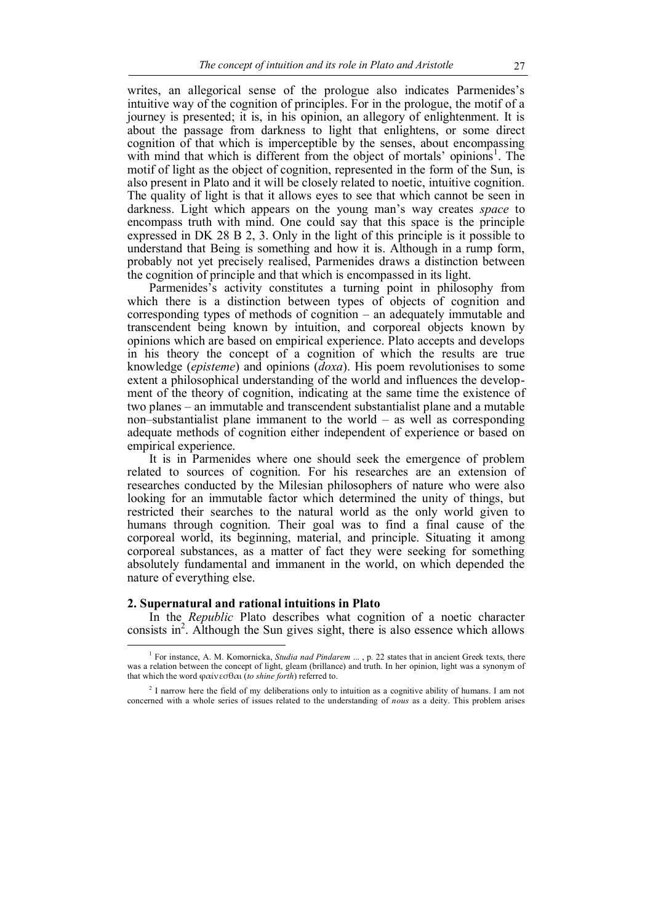writes, an allegorical sense of the prologue also indicates Parmenides's intuitive way of the cognition of principles. For in the prologue, the motif of a journey is presented; it is, in his opinion, an allegory of enlightenment. It is about the passage from darkness to light that enlightens, or some direct cognition of that which is imperceptible by the senses, about encompassing with mind that which is different from the object of mortals' opinions<sup>1</sup>. The motif of light as the object of cognition, represented in the form of the Sun, is also present in Plato and it will be closely related to noetic, intuitive cognition. The quality of light is that it allows eyes to see that which cannot be seen in darkness. Light which appears on the young man's way creates *space* to encompass truth with mind. One could say that this space is the principle expressed in DK 28 B 2, 3. Only in the light of this principle is it possible to understand that Being is something and how it is. Although in a rump form, probably not yet precisely realised, Parmenides draws a distinction between the cognition of principle and that which is encompassed in its light.

Parmenides's activity constitutes a turning point in philosophy from which there is a distinction between types of objects of cognition and corresponding types of methods of cognition – an adequately immutable and transcendent being known by intuition, and corporeal objects known by opinions which are based on empirical experience. Plato accepts and develops in his theory the concept of a cognition of which the results are true knowledge (*episteme*) and opinions (*doxa*). His poem revolutionises to some extent a philosophical understanding of the world and influences the development of the theory of cognition, indicating at the same time the existence of two planes – an immutable and transcendent substantialist plane and a mutable non–substantialist plane immanent to the world  $-$  as well as corresponding adequate methods of cognition either independent of experience or based on empirical experience.

It is in Parmenides where one should seek the emergence of problem related to sources of cognition. For his researches are an extension of researches conducted by the Milesian philosophers of nature who were also looking for an immutable factor which determined the unity of things, but restricted their searches to the natural world as the only world given to humans through cognition. Their goal was to find a final cause of the corporeal world, its beginning, material, and principle. Situating it among corporeal substances, as a matter of fact they were seeking for something absolutely fundamental and immanent in the world, on which depended the nature of everything else.

#### **2. Supernatural and rational intuitions in Plato**

In the *Republic* Plato describes what cognition of a noetic character consists in<sup>2</sup>. Although the Sun gives sight, there is also essence which allows

 1 For instance, A. M. Komornicka, *Studia nad Pindarem* ... , p. 22 states that in ancient Greek texts, there was a relation between the concept of light, gleam (brillance) and truth. In her opinion, light was a synonym of that which the word ϕαίνεσθαι (*to shine forth*) referred to.

<sup>&</sup>lt;sup>2</sup> I narrow here the field of my deliberations only to intuition as a cognitive ability of humans. I am not concerned with a whole series of issues related to the understanding of *nous* as a deity. This problem arises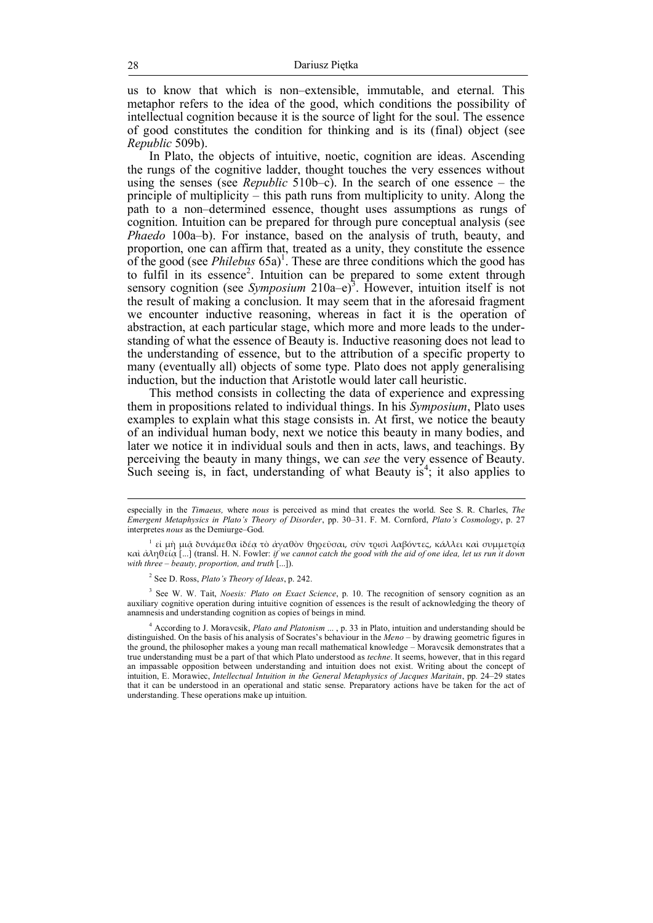us to know that which is non–extensible, immutable, and eternal. This metaphor refers to the idea of the good, which conditions the possibility of intellectual cognition because it is the source of light for the soul. The essence of good constitutes the condition for thinking and is its (final) object (see *Republic* 509b).

In Plato, the objects of intuitive, noetic, cognition are ideas. Ascending the rungs of the cognitive ladder, thought touches the very essences without using the senses (see *Republic* 510b–c). In the search of one essence – the principle of multiplicity – this path runs from multiplicity to unity. Along the path to a non–determined essence, thought uses assumptions as rungs of cognition. Intuition can be prepared for through pure conceptual analysis (see *Phaedo* 100a–b). For instance, based on the analysis of truth, beauty, and proportion, one can affirm that, treated as a unity, they constitute the essence of the good (see *Philebus* 65a) 1 . These are three conditions which the good has to fulfil in its essence<sup>2</sup>. Intuition can be prepared to some extent through sensory cognition (see *Symposium* 210a–e) 3 . However, intuition itself is not the result of making a conclusion. It may seem that in the aforesaid fragment we encounter inductive reasoning, whereas in fact it is the operation of abstraction, at each particular stage, which more and more leads to the understanding of what the essence of Beauty is. Inductive reasoning does not lead to the understanding of essence, but to the attribution of a specific property to many (eventually all) objects of some type. Plato does not apply generalising induction, but the induction that Aristotle would later call heuristic.

This method consists in collecting the data of experience and expressing them in propositions related to individual things. In his *Symposium*, Plato uses examples to explain what this stage consists in. At first, we notice the beauty of an individual human body, next we notice this beauty in many bodies, and later we notice it in individual souls and then in acts, laws, and teachings. By perceiving the beauty in many things, we can *see* the very essence of Beauty. Such seeing is, in fact, understanding of what Beauty is<sup>4</sup>; it also applies to

3 See W. W. Tait, *Noesis: Plato on Exact Science*, p. 10. The recognition of sensory cognition as an auxiliary cognitive operation during intuitive cognition of essences is the result of acknowledging the theory of anamnesis and understanding cognition as copies of beings in mind.

especially in the *Timaeus,* where *nous* is perceived as mind that creates the world. See S. R. Charles, *The Emergent Metaphysics in Plato's Theory of Disorder*, pp. 30–31. F. M. Cornford, *Plato's Cosmology*, p. 27 interpretes *nous* as the Demiurge–God.

 $^{-1}$  εἰ μὴ μιಢ̄ δυνάμεθα ἰδέα τὸ ἀγαθὸν θηρεῦσαι, σὺν τρισὶ λαβόντες, κάλλει καὶ συμμετρία καὶ ἀληθείᾳ [...] (transl. H. N. Fowler: *if we cannot catch the good with the aid of one idea, let us run it down*  with three – beauty, proportion, and truth  $[$   $]$ ).

<sup>2</sup> See D. Ross, *Plato's Theory of Ideas*, p. 242.

<sup>4</sup> According to J. Moravcsik, *Plato and Platonism* ... , p. 33 in Plato, intuition and understanding should be distinguished. On the basis of his analysis of Socrates's behaviour in the *Meno* – by drawing geometric figures in the ground, the philosopher makes a young man recall mathematical knowledge – Moravcsik demonstrates that a true understanding must be a part of that which Plato understood as *techne*. It seems, however, that in this regard an impassable opposition between understanding and intuition does not exist. Writing about the concept of intuition, E. Morawiec, *Intellectual Intuition in the General Metaphysics of Jacques Maritain*, pp. 24–29 states that it can be understood in an operational and static sense. Preparatory actions have be taken for the act of understanding. These operations make up intuition.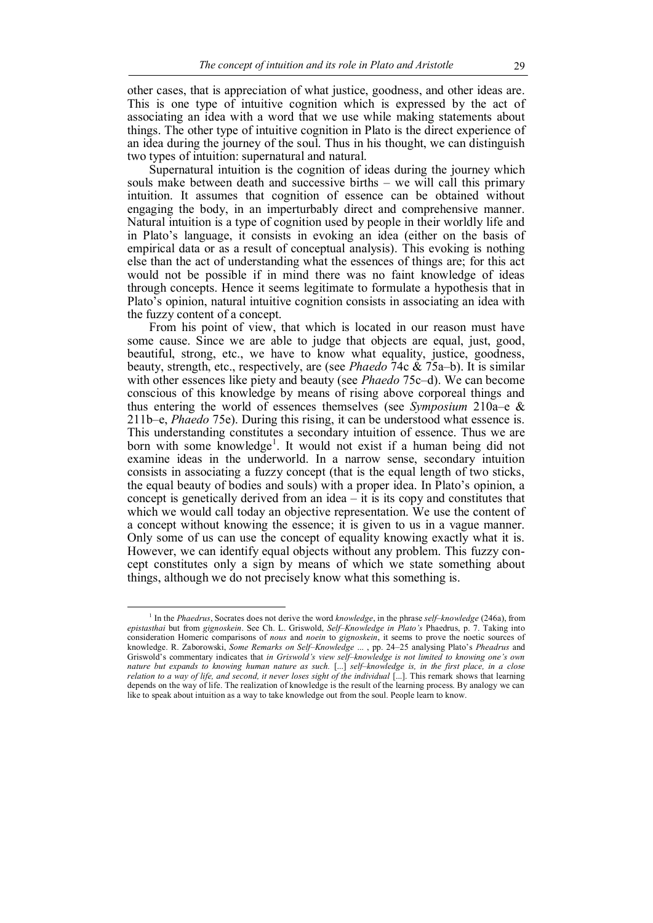other cases, that is appreciation of what justice, goodness, and other ideas are. This is one type of intuitive cognition which is expressed by the act of associating an idea with a word that we use while making statements about things. The other type of intuitive cognition in Plato is the direct experience of an idea during the journey of the soul. Thus in his thought, we can distinguish two types of intuition: supernatural and natural.

Supernatural intuition is the cognition of ideas during the journey which souls make between death and successive births – we will call this primary intuition. It assumes that cognition of essence can be obtained without engaging the body, in an imperturbably direct and comprehensive manner. Natural intuition is a type of cognition used by people in their worldly life and in Plato's language, it consists in evoking an idea (either on the basis of empirical data or as a result of conceptual analysis). This evoking is nothing else than the act of understanding what the essences of things are; for this act would not be possible if in mind there was no faint knowledge of ideas through concepts. Hence it seems legitimate to formulate a hypothesis that in Plato's opinion, natural intuitive cognition consists in associating an idea with the fuzzy content of a concept.

From his point of view, that which is located in our reason must have some cause. Since we are able to judge that objects are equal, just, good, beautiful, strong, etc., we have to know what equality, justice, goodness, beauty, strength, etc., respectively, are (see *Phaedo* 74c & 75a–b). It is similar with other essences like piety and beauty (see *Phaedo* 75c–d). We can become conscious of this knowledge by means of rising above corporeal things and thus entering the world of essences themselves (see *Symposium* 210a–e & 211b–e, *Phaedo* 75e). During this rising, it can be understood what essence is. This understanding constitutes a secondary intuition of essence. Thus we are born with some knowledge<sup>1</sup>. It would not exist if a human being did not examine ideas in the underworld. In a narrow sense, secondary intuition consists in associating a fuzzy concept (that is the equal length of two sticks, the equal beauty of bodies and souls) with a proper idea. In Plato's opinion, a concept is genetically derived from an idea  $-$  it is its copy and constitutes that which we would call today an objective representation. We use the content of a concept without knowing the essence; it is given to us in a vague manner. Only some of us can use the concept of equality knowing exactly what it is. However, we can identify equal objects without any problem. This fuzzy concept constitutes only a sign by means of which we state something about things, although we do not precisely know what this something is.

<sup>1</sup> In the *Phaedrus*, Socrates does not derive the word *knowledge*, in the phrase *self–knowledge* (246a), from *epistasthai* but from *gignoskein*. See Ch. L. Griswold, *Self–Knowledge in Plato's* Phaedrus, p. 7. Taking into consideration Homeric comparisons of *nous* and *noein* to *gignoskein*, it seems to prove the noetic sources of knowledge. R. Zaborowski, *Some Remarks on Self–Knowledge* ... , pp. 24–25 analysing Plato's *Pheadrus* and Griswold's commentary indicates that *in Griswold's view self–knowledge is not limited to knowing one's own nature but expands to knowing human nature as such.* [...] *self–knowledge is, in the first place, in a close relation to a way of life, and second, it never loses sight of the individual* [...]. This remark shows that learning depends on the way of life. The realization of knowledge is the result of the learning process. By analogy we can like to speak about intuition as a way to take knowledge out from the soul. People learn to know.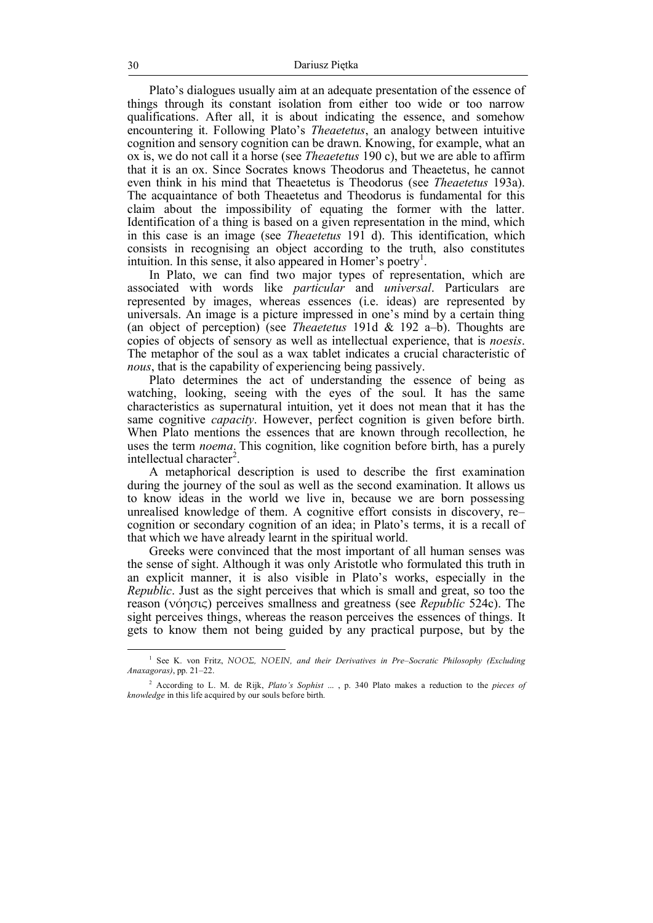Plato's dialogues usually aim at an adequate presentation of the essence of things through its constant isolation from either too wide or too narrow qualifications. After all, it is about indicating the essence, and somehow encountering it. Following Plato's *Theaetetus*, an analogy between intuitive cognition and sensory cognition can be drawn. Knowing, for example, what an ox is, we do not call it a horse (see *Theaetetus* 190 c), but we are able to affirm that it is an ox. Since Socrates knows Theodorus and Theaetetus, he cannot even think in his mind that Theaetetus is Theodorus (see *Theaetetus* 193a). The acquaintance of both Theaetetus and Theodorus is fundamental for this claim about the impossibility of equating the former with the latter. Identification of a thing is based on a given representation in the mind, which in this case is an image (see *Theaetetus* 191 d). This identification, which consists in recognising an object according to the truth, also constitutes intuition. In this sense, it also appeared in Homer's poetry<sup>1</sup>.

In Plato, we can find two major types of representation, which are associated with words like *particular* and *universal*. Particulars are represented by images, whereas essences (i.e. ideas) are represented by universals. An image is a picture impressed in one's mind by a certain thing (an object of perception) (see *Theaetetus* 191d & 192 a–b). Thoughts are copies of objects of sensory as well as intellectual experience, that is *noesis*. The metaphor of the soul as a wax tablet indicates a crucial characteristic of *nous*, that is the capability of experiencing being passively.

Plato determines the act of understanding the essence of being as watching, looking, seeing with the eyes of the soul. It has the same characteristics as supernatural intuition, yet it does not mean that it has the same cognitive *capacity*. However, perfect cognition is given before birth. When Plato mentions the essences that are known through recollection, he uses the term *noema*. This cognition, like cognition before birth, has a purely intellectual character<sup>2</sup>.

A metaphorical description is used to describe the first examination during the journey of the soul as well as the second examination. It allows us to know ideas in the world we live in, because we are born possessing unrealised knowledge of them. A cognitive effort consists in discovery, re– cognition or secondary cognition of an idea; in Plato's terms, it is a recall of that which we have already learnt in the spiritual world.

Greeks were convinced that the most important of all human senses was the sense of sight. Although it was only Aristotle who formulated this truth in an explicit manner, it is also visible in Plato's works, especially in the *Republic*. Just as the sight perceives that which is small and great, so too the reason (νόησις) perceives smallness and greatness (see *Republic* 524c). The sight perceives things, whereas the reason perceives the essences of things. It gets to know them not being guided by any practical purpose, but by the

<sup>&</sup>lt;sup>1</sup> See K. von Fritz, *ΝΟΟΣ*, *NOEIN*, and their Derivatives in Pre–Socratic Philosophy (Excluding *Anaxagoras)*, pp. 21–22.

<sup>2</sup> According to L. M. de Rijk, *Plato's Sophist* ... , p. 340 Plato makes a reduction to the *pieces of knowledge* in this life acquired by our souls before birth.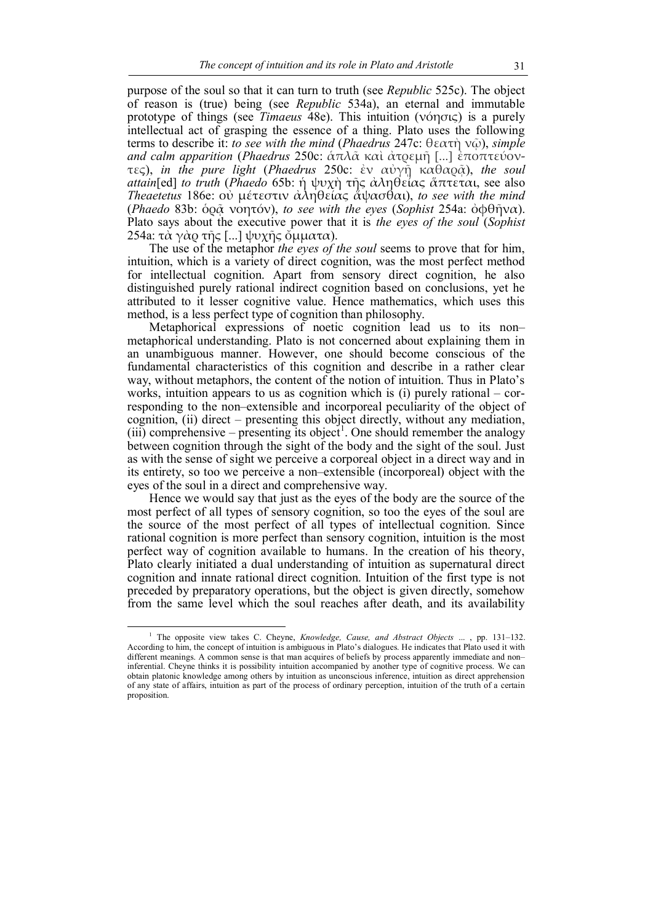purpose of the soul so that it can turn to truth (see *Republic* 525c). The object of reason is (true) being (see *Republic* 534a), an eternal and immutable prototype of things (see *Timaeus* 48e). This intuition (νόησις) is a purely intellectual act of grasping the essence of a thing. Plato uses the following terms to describe it: *to see with the mind* (*Phaedrus* 247c: θεατὴ νῷ), *simple and calm apparition* (*Phaedrus* 250c: ἁπλᾶ καὶ ἀτρεµῆ [...] ἐποπτεύοντες), *in the pure light* (*Phaedrus* 250c: ἐν αὐγῇ καθαρᾷ), *the soul attain*[ed] *to truth* (*Phaedo* 65b: ἡ ψυχὴ τῆς ἀληθείας ἅπτεται, see also *Theaetetus* 186e: οὐ µέτεστιν ἀληθείας ἅψασθαι), *to see with the mind* (*Phaedo* 83b: ὁρᾷ νοητόν), *to see with the eyes* (*Sophist* 254a: ὀφθῆνα). Plato says about the executive power that it is *the eyes of the soul* (*Sophist* 254a: τ $\alpha$  γάρ τῆς [...] ψυχῆς ὄμματα).

The use of the metaphor *the eyes of the soul* seems to prove that for him, intuition, which is a variety of direct cognition, was the most perfect method for intellectual cognition. Apart from sensory direct cognition, he also distinguished purely rational indirect cognition based on conclusions, yet he attributed to it lesser cognitive value. Hence mathematics, which uses this method, is a less perfect type of cognition than philosophy.

Metaphorical expressions of noetic cognition lead us to its non– metaphorical understanding. Plato is not concerned about explaining them in an unambiguous manner. However, one should become conscious of the fundamental characteristics of this cognition and describe in a rather clear way, without metaphors, the content of the notion of intuition. Thus in Plato's works, intuition appears to us as cognition which is (i) purely rational – corresponding to the non–extensible and incorporeal peculiarity of the object of cognition, (ii) direct – presenting this object directly, without any mediation, (iii) comprehensive – presenting its object<sup>1</sup>. One should remember the analogy between cognition through the sight of the body and the sight of the soul. Just as with the sense of sight we perceive a corporeal object in a direct way and in its entirety, so too we perceive a non–extensible (incorporeal) object with the eyes of the soul in a direct and comprehensive way.

Hence we would say that just as the eyes of the body are the source of the most perfect of all types of sensory cognition, so too the eyes of the soul are the source of the most perfect of all types of intellectual cognition. Since rational cognition is more perfect than sensory cognition, intuition is the most perfect way of cognition available to humans. In the creation of his theory, Plato clearly initiated a dual understanding of intuition as supernatural direct cognition and innate rational direct cognition. Intuition of the first type is not preceded by preparatory operations, but the object is given directly, somehow from the same level which the soul reaches after death, and its availability

<sup>&</sup>lt;sup>1</sup> The opposite view takes C. Cheyne, *Knowledge, Cause, and Abstract Objects* ... , pp. 131-132. According to him, the concept of intuition is ambiguous in Plato's dialogues. He indicates that Plato used it with different meanings. A common sense is that man acquires of beliefs by process apparently immediate and non– inferential. Cheyne thinks it is possibility intuition accompanied by another type of cognitive process. We can obtain platonic knowledge among others by intuition as unconscious inference, intuition as direct apprehension of any state of affairs, intuition as part of the process of ordinary perception, intuition of the truth of a certain proposition.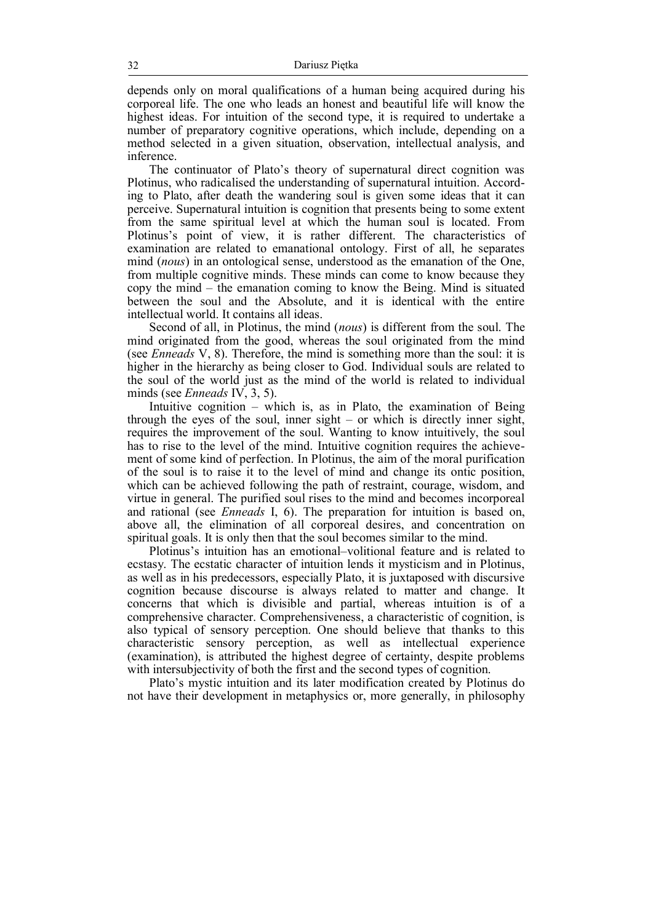depends only on moral qualifications of a human being acquired during his corporeal life. The one who leads an honest and beautiful life will know the highest ideas. For intuition of the second type, it is required to undertake a number of preparatory cognitive operations, which include, depending on a method selected in a given situation, observation, intellectual analysis, and inference.

The continuator of Plato's theory of supernatural direct cognition was Plotinus, who radicalised the understanding of supernatural intuition. According to Plato, after death the wandering soul is given some ideas that it can perceive. Supernatural intuition is cognition that presents being to some extent from the same spiritual level at which the human soul is located. From Plotinus's point of view, it is rather different. The characteristics of examination are related to emanational ontology. First of all, he separates mind (*nous*) in an ontological sense, understood as the emanation of the One, from multiple cognitive minds. These minds can come to know because they copy the mind – the emanation coming to know the Being. Mind is situated between the soul and the Absolute, and it is identical with the entire intellectual world. It contains all ideas.

Second of all, in Plotinus, the mind (*nous*) is different from the soul. The mind originated from the good, whereas the soul originated from the mind (see *Enneads* V, 8). Therefore, the mind is something more than the soul: it is higher in the hierarchy as being closer to God. Individual souls are related to the soul of the world just as the mind of the world is related to individual minds (see *Enneads* IV, 3, 5).

Intuitive cognition – which is, as in Plato, the examination of Being through the eyes of the soul, inner sight – or which is directly inner sight, requires the improvement of the soul. Wanting to know intuitively, the soul has to rise to the level of the mind. Intuitive cognition requires the achievement of some kind of perfection. In Plotinus, the aim of the moral purification of the soul is to raise it to the level of mind and change its ontic position, which can be achieved following the path of restraint, courage, wisdom, and virtue in general. The purified soul rises to the mind and becomes incorporeal and rational (see *Enneads* I, 6). The preparation for intuition is based on, above all, the elimination of all corporeal desires, and concentration on spiritual goals. It is only then that the soul becomes similar to the mind.

Plotinus's intuition has an emotional–volitional feature and is related to ecstasy. The ecstatic character of intuition lends it mysticism and in Plotinus, as well as in his predecessors, especially Plato, it is juxtaposed with discursive cognition because discourse is always related to matter and change. It concerns that which is divisible and partial, whereas intuition is of a comprehensive character. Comprehensiveness, a characteristic of cognition, is also typical of sensory perception. One should believe that thanks to this characteristic sensory perception, as well as intellectual experience (examination), is attributed the highest degree of certainty, despite problems with intersubjectivity of both the first and the second types of cognition.

Plato's mystic intuition and its later modification created by Plotinus do not have their development in metaphysics or, more generally, in philosophy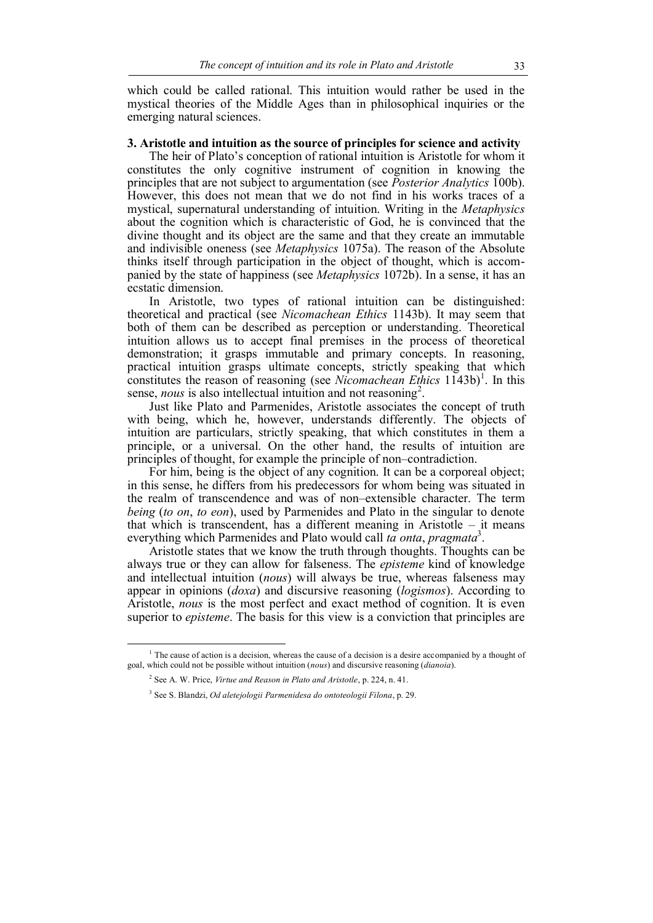which could be called rational. This intuition would rather be used in the mystical theories of the Middle Ages than in philosophical inquiries or the emerging natural sciences.

#### **3. Aristotle and intuition as the source of principles for science and activity**

The heir of Plato's conception of rational intuition is Aristotle for whom it constitutes the only cognitive instrument of cognition in knowing the principles that are not subject to argumentation (see *Posterior Analytics* 100b). However, this does not mean that we do not find in his works traces of a mystical, supernatural understanding of intuition. Writing in the *Metaphysics* about the cognition which is characteristic of God, he is convinced that the divine thought and its object are the same and that they create an immutable and indivisible oneness (see *Metaphysics* 1075a). The reason of the Absolute thinks itself through participation in the object of thought, which is accompanied by the state of happiness (see *Metaphysics* 1072b). In a sense, it has an ecstatic dimension.

In Aristotle, two types of rational intuition can be distinguished: theoretical and practical (see *Nicomachean Ethics* 1143b). It may seem that both of them can be described as perception or understanding. Theoretical intuition allows us to accept final premises in the process of theoretical demonstration; it grasps immutable and primary concepts. In reasoning, practical intuition grasps ultimate concepts, strictly speaking that which constitutes the reason of reasoning (see *Nicomachean Ethics* 1143b) 1 . In this sense, *nous* is also intellectual intuition and not reasoning<sup>2</sup>.

Just like Plato and Parmenides, Aristotle associates the concept of truth with being, which he, however, understands differently. The objects of intuition are particulars, strictly speaking, that which constitutes in them a principle, or a universal. On the other hand, the results of intuition are principles of thought, for example the principle of non–contradiction.

For him, being is the object of any cognition. It can be a corporeal object; in this sense, he differs from his predecessors for whom being was situated in the realm of transcendence and was of non–extensible character. The term *being* (*to on*, *to eon*), used by Parmenides and Plato in the singular to denote that which is transcendent, has a different meaning in Aristotle  $-$  it means everything which Parmenides and Plato would call *ta onta*, *pragmata*<sup>3</sup> .

Aristotle states that we know the truth through thoughts. Thoughts can be always true or they can allow for falseness. The *episteme* kind of knowledge and intellectual intuition (*nous*) will always be true, whereas falseness may appear in opinions (*doxa*) and discursive reasoning (*logismos*). According to Aristotle, *nous* is the most perfect and exact method of cognition. It is even superior to *episteme*. The basis for this view is a conviction that principles are

 $<sup>1</sup>$  The cause of action is a decision, whereas the cause of a decision is a desire accompanied by a thought of</sup> goal, which could not be possible without intuition (*nous*) and discursive reasoning (*dianoia*).

<sup>2</sup> See A. W. Price, *Virtue and Reason in Plato and Aristotle*, p. 224, n. 41.

<sup>3</sup> See S. Blandzi, *Od aletejologii Parmenidesa do ontoteologii Filona*, p. 29.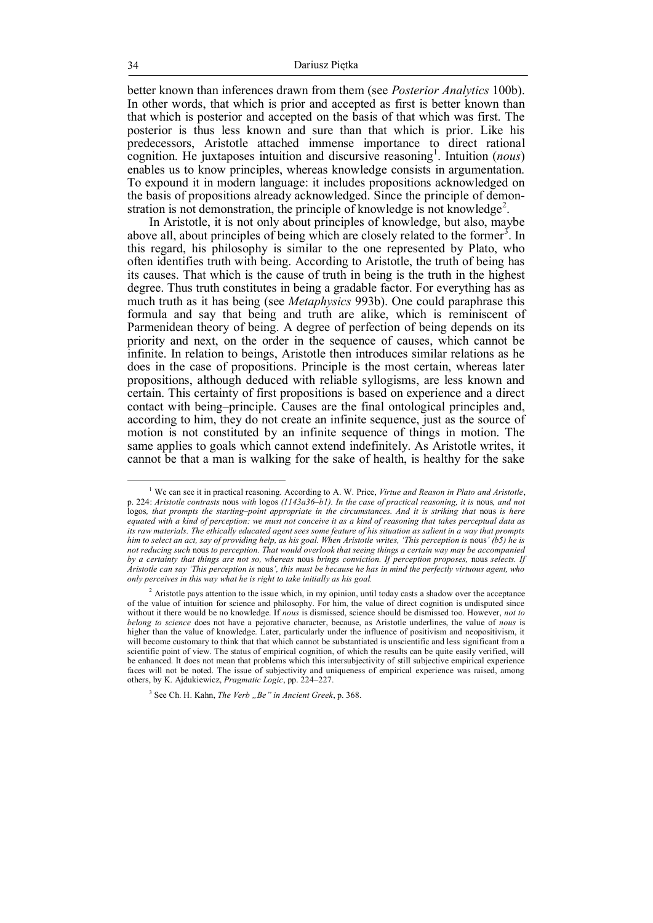#### 34 Dariusz Piętka

better known than inferences drawn from them (see *Posterior Analytics* 100b). In other words, that which is prior and accepted as first is better known than that which is posterior and accepted on the basis of that which was first. The posterior is thus less known and sure than that which is prior. Like his predecessors, Aristotle attached immense importance to direct rational cognition. He juxtaposes intuition and discursive reasoning<sup>1</sup>. Intuition (*nous*) enables us to know principles, whereas knowledge consists in argumentation. To expound it in modern language: it includes propositions acknowledged on the basis of propositions already acknowledged. Since the principle of demonstration is not demonstration, the principle of knowledge is not knowledge<sup>2</sup>.

In Aristotle, it is not only about principles of knowledge, but also, maybe above all, about principles of being which are closely related to the former<sup>3</sup>. In this regard, his philosophy is similar to the one represented by Plato, who often identifies truth with being. According to Aristotle, the truth of being has its causes. That which is the cause of truth in being is the truth in the highest degree. Thus truth constitutes in being a gradable factor. For everything has as much truth as it has being (see *Metaphysics* 993b). One could paraphrase this formula and say that being and truth are alike, which is reminiscent of Parmenidean theory of being. A degree of perfection of being depends on its priority and next, on the order in the sequence of causes, which cannot be infinite. In relation to beings, Aristotle then introduces similar relations as he does in the case of propositions. Principle is the most certain, whereas later propositions, although deduced with reliable syllogisms, are less known and certain. This certainty of first propositions is based on experience and a direct contact with being–principle. Causes are the final ontological principles and, according to him, they do not create an infinite sequence, just as the source of motion is not constituted by an infinite sequence of things in motion. The same applies to goals which cannot extend indefinitely. As Aristotle writes, it cannot be that a man is walking for the sake of health, is healthy for the sake

<sup>1</sup> We can see it in practical reasoning. According to A. W. Price, *Virtue and Reason in Plato and Aristotle*, p. 224: *Aristotle contrasts* nous *with* logos *(1143a36–b1). In the case of practical reasoning, it is* nous*, and not*  logos, that prompts the starting-point appropriate in the circumstances. And it is striking that nous is here *equated with a kind of perception: we must not conceive it as a kind of reasoning that takes perceptual data as its raw materials. The ethically educated agent sees some feature of his situation as salient in a way that prompts him to select an act, say of providing help, as his goal. When Aristotle writes, 'This perception is nous' (b5) he is not reducing such* nous *to perception. That would overlook that seeing things a certain way may be accompanied by a certainty that things are not so, whereas* nous *brings conviction. If perception proposes,* nous *selects. If Aristotle can say 'This perception is* nous*', this must be because he has in mind the perfectly virtuous agent, who only perceives in this way what he is right to take initially as his goal.*

<sup>&</sup>lt;sup>2</sup> Aristotle pays attention to the issue which, in my opinion, until today casts a shadow over the acceptance of the value of intuition for science and philosophy. For him, the value of direct cognition is undisputed since without it there would be no knowledge. If *nous* is dismissed, science should be dismissed too. However, *not to belong to science* does not have a pejorative character, because, as Aristotle underlines, the value of *nous* is higher than the value of knowledge. Later, particularly under the influence of positivism and neopositivism, it will become customary to think that that which cannot be substantiated is unscientific and less significant from a scientific point of view. The status of empirical cognition, of which the results can be quite easily verified, will be enhanced. It does not mean that problems which this intersubjectivity of still subjective empirical experience faces will not be noted. The issue of subjectivity and uniqueness of empirical experience was raised, among others, by K. Ajdukiewicz, *Pragmatic Logic*, pp. 224–227.

<sup>&</sup>lt;sup>3</sup> See Ch. H. Kahn, *The Verb "Be" in Ancient Greek*, p. 368.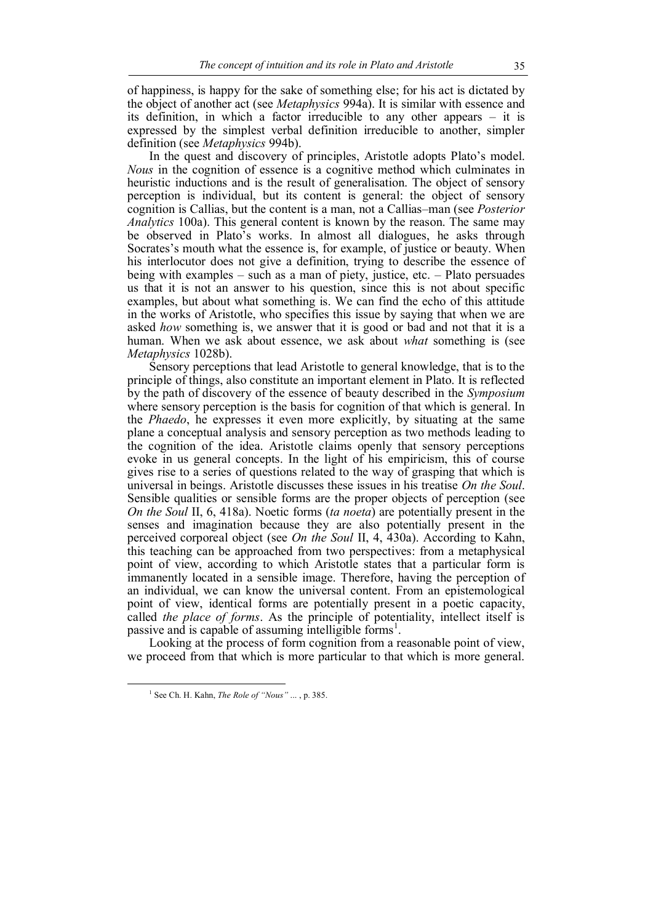of happiness, is happy for the sake of something else; for his act is dictated by the object of another act (see *Metaphysics* 994a). It is similar with essence and its definition, in which a factor irreducible to any other appears – it is expressed by the simplest verbal definition irreducible to another, simpler definition (see *Metaphysics* 994b).

In the quest and discovery of principles, Aristotle adopts Plato's model. *Nous* in the cognition of essence is a cognitive method which culminates in heuristic inductions and is the result of generalisation. The object of sensory perception is individual, but its content is general: the object of sensory cognition is Callias, but the content is a man, not a Callias–man (see *Posterior Analytics* 100a). This general content is known by the reason. The same may be observed in Plato's works. In almost all dialogues, he asks through Socrates's mouth what the essence is, for example, of justice or beauty. When his interlocutor does not give a definition, trying to describe the essence of being with examples – such as a man of piety, justice, etc. – Plato persuades us that it is not an answer to his question, since this is not about specific examples, but about what something is. We can find the echo of this attitude in the works of Aristotle, who specifies this issue by saying that when we are asked *how* something is, we answer that it is good or bad and not that it is a human. When we ask about essence, we ask about *what* something is (see *Metaphysics* 1028b).

Sensory perceptions that lead Aristotle to general knowledge, that is to the principle of things, also constitute an important element in Plato. It is reflected by the path of discovery of the essence of beauty described in the *Symposium* where sensory perception is the basis for cognition of that which is general. In the *Phaedo*, he expresses it even more explicitly, by situating at the same plane a conceptual analysis and sensory perception as two methods leading to the cognition of the idea. Aristotle claims openly that sensory perceptions evoke in us general concepts. In the light of his empiricism, this of course gives rise to a series of questions related to the way of grasping that which is universal in beings. Aristotle discusses these issues in his treatise *On the Soul*. Sensible qualities or sensible forms are the proper objects of perception (see *On the Soul* II, 6, 418a). Noetic forms (*ta noeta*) are potentially present in the senses and imagination because they are also potentially present in the perceived corporeal object (see *On the Soul* II, 4, 430a). According to Kahn, this teaching can be approached from two perspectives: from a metaphysical point of view, according to which Aristotle states that a particular form is immanently located in a sensible image. Therefore, having the perception of an individual, we can know the universal content. From an epistemological point of view, identical forms are potentially present in a poetic capacity, called *the place of forms*. As the principle of potentiality, intellect itself is passive and is capable of assuming intelligible forms<sup>1</sup>.

Looking at the process of form cognition from a reasonable point of view, we proceed from that which is more particular to that which is more general.

<sup>1</sup> See Ch. H. Kahn, *The Role of "Nous"* ... , p. 385.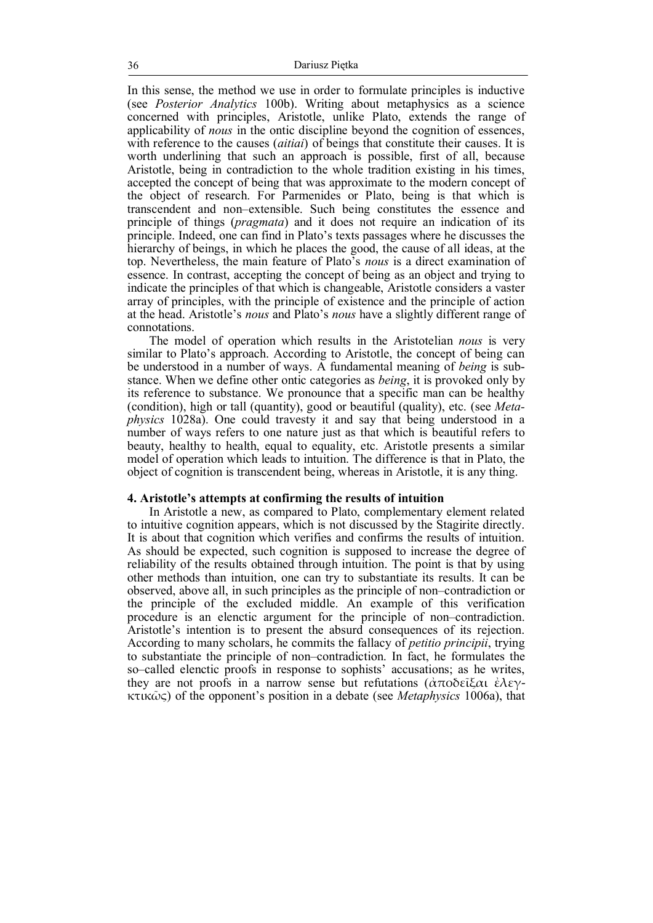In this sense, the method we use in order to formulate principles is inductive (see *Posterior Analytics* 100b). Writing about metaphysics as a science concerned with principles, Aristotle, unlike Plato, extends the range of applicability of *nous* in the ontic discipline beyond the cognition of essences, with reference to the causes (*aitiai*) of beings that constitute their causes. It is worth underlining that such an approach is possible, first of all, because Aristotle, being in contradiction to the whole tradition existing in his times, accepted the concept of being that was approximate to the modern concept of the object of research. For Parmenides or Plato, being is that which is transcendent and non–extensible. Such being constitutes the essence and principle of things (*pragmata*) and it does not require an indication of its principle. Indeed, one can find in Plato's texts passages where he discusses the hierarchy of beings, in which he places the good, the cause of all ideas, at the top. Nevertheless, the main feature of Plato's *nous* is a direct examination of essence. In contrast, accepting the concept of being as an object and trying to indicate the principles of that which is changeable, Aristotle considers a vaster array of principles, with the principle of existence and the principle of action at the head. Aristotle's *nous* and Plato's *nous* have a slightly different range of connotations.

The model of operation which results in the Aristotelian *nous* is very similar to Plato's approach. According to Aristotle, the concept of being can be understood in a number of ways. A fundamental meaning of *being* is substance. When we define other ontic categories as *being*, it is provoked only by its reference to substance. We pronounce that a specific man can be healthy (condition), high or tall (quantity), good or beautiful (quality), etc. (see *Metaphysics* 1028a). One could travesty it and say that being understood in a number of ways refers to one nature just as that which is beautiful refers to beauty, healthy to health, equal to equality, etc. Aristotle presents a similar model of operation which leads to intuition. The difference is that in Plato, the object of cognition is transcendent being, whereas in Aristotle, it is any thing.

#### **4. Aristotle's attempts at confirming the results of intuition**

In Aristotle a new, as compared to Plato, complementary element related to intuitive cognition appears, which is not discussed by the Stagirite directly. It is about that cognition which verifies and confirms the results of intuition. As should be expected, such cognition is supposed to increase the degree of reliability of the results obtained through intuition. The point is that by using other methods than intuition, one can try to substantiate its results. It can be observed, above all, in such principles as the principle of non–contradiction or the principle of the excluded middle. An example of this verification procedure is an elenctic argument for the principle of non–contradiction. Aristotle's intention is to present the absurd consequences of its rejection. According to many scholars, he commits the fallacy of *petitio principii*, trying to substantiate the principle of non–contradiction. In fact, he formulates the so–called elenctic proofs in response to sophists' accusations; as he writes, they are not proofs in a narrow sense but refutations ( $\alpha \pi$ οδεῖξαι ἐλεγκτικῶς) of the opponent's position in a debate (see *Metaphysics* 1006a), that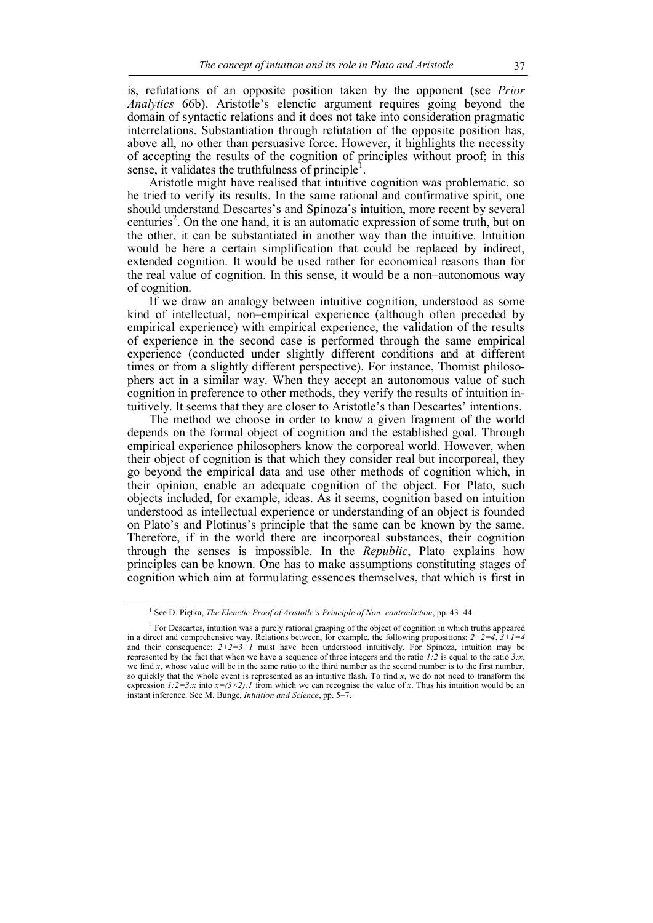is, refutations of an opposite position taken by the opponent (see *Prior Analytics* 66b). Aristotle's elenctic argument requires going beyond the domain of syntactic relations and it does not take into consideration pragmatic interrelations. Substantiation through refutation of the opposite position has, above all, no other than persuasive force. However, it highlights the necessity of accepting the results of the cognition of principles without proof; in this sense, it validates the truthfulness of principle<sup>1</sup>.

Aristotle might have realised that intuitive cognition was problematic, so he tried to verify its results. In the same rational and confirmative spirit, one should understand Descartes's and Spinoza's intuition, more recent by several centuries 2 . On the one hand, it is an automatic expression of some truth, but on the other, it can be substantiated in another way than the intuitive. Intuition would be here a certain simplification that could be replaced by indirect, extended cognition. It would be used rather for economical reasons than for the real value of cognition. In this sense, it would be a non–autonomous way of cognition.

If we draw an analogy between intuitive cognition, understood as some kind of intellectual, non–empirical experience (although often preceded by empirical experience) with empirical experience, the validation of the results of experience in the second case is performed through the same empirical experience (conducted under slightly different conditions and at different times or from a slightly different perspective). For instance, Thomist philosophers act in a similar way. When they accept an autonomous value of such cognition in preference to other methods, they verify the results of intuition intuitively. It seems that they are closer to Aristotle's than Descartes' intentions.

The method we choose in order to know a given fragment of the world depends on the formal object of cognition and the established goal. Through empirical experience philosophers know the corporeal world. However, when their object of cognition is that which they consider real but incorporeal, they go beyond the empirical data and use other methods of cognition which, in their opinion, enable an adequate cognition of the object. For Plato, such objects included, for example, ideas. As it seems, cognition based on intuition understood as intellectual experience or understanding of an object is founded on Plato's and Plotinus's principle that the same can be known by the same. Therefore, if in the world there are incorporeal substances, their cognition through the senses is impossible. In the *Republic*, Plato explains how principles can be known. One has to make assumptions constituting stages of cognition which aim at formulating essences themselves, that which is first in

<sup>&</sup>lt;sup>1</sup> See D. Piętka, *The Elenctic Proof of Aristotle's Principle of Non–contradiction*, pp. 43–44.

<sup>&</sup>lt;sup>2</sup> For Descartes, intuition was a purely rational grasping of the object of cognition in which truths appeared in a direct and comprehensive way. Relations between, for example, the following propositions: *2+2=4*, *3+1=4* and their consequence:  $2+2=3+1$  must have been understood intuitively. For Spinoza, intuition may be represented by the fact that when we have a sequence of three integers and the ratio *1:2* is equal to the ratio *3:x*, we find  $x$ , whose value will be in the same ratio to the third number as the second number is to the first number, so quickly that the whole event is represented as an intuitive flash. To find *x*, we do not need to transform the expression  $1:2=3:x$  into  $x=(3\times2):1$  from which we can recognise the value of x. Thus his intuition would be an instant inference. See M. Bunge, *Intuition and Science*, pp. 5–7.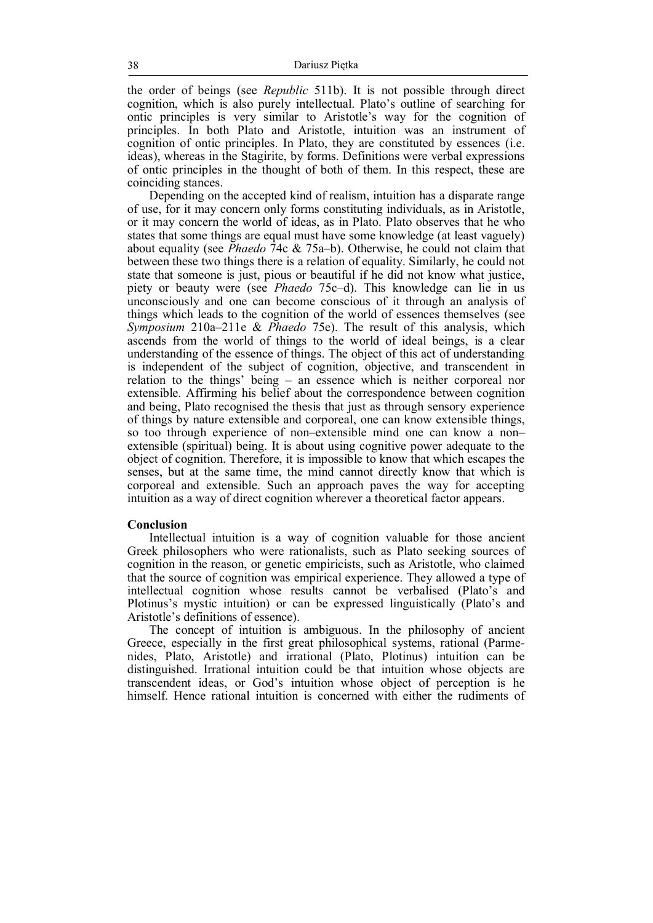the order of beings (see *Republic* 511b). It is not possible through direct cognition, which is also purely intellectual. Plato's outline of searching for ontic principles is very similar to Aristotle's way for the cognition of principles. In both Plato and Aristotle, intuition was an instrument of cognition of ontic principles. In Plato, they are constituted by essences (i.e. ideas), whereas in the Stagirite, by forms. Definitions were verbal expressions of ontic principles in the thought of both of them. In this respect, these are coinciding stances.

Depending on the accepted kind of realism, intuition has a disparate range of use, for it may concern only forms constituting individuals, as in Aristotle, or it may concern the world of ideas, as in Plato. Plato observes that he who states that some things are equal must have some knowledge (at least vaguely) about equality (see *Phaedo* 74c & 75a–b). Otherwise, he could not claim that between these two things there is a relation of equality. Similarly, he could not state that someone is just, pious or beautiful if he did not know what justice, piety or beauty were (see *Phaedo* 75c–d). This knowledge can lie in us unconsciously and one can become conscious of it through an analysis of things which leads to the cognition of the world of essences themselves (see *Symposium* 210a–211e & *Phaedo* 75e). The result of this analysis, which ascends from the world of things to the world of ideal beings, is a clear understanding of the essence of things. The object of this act of understanding is independent of the subject of cognition, objective, and transcendent in relation to the things' being – an essence which is neither corporeal nor extensible. Affirming his belief about the correspondence between cognition and being, Plato recognised the thesis that just as through sensory experience of things by nature extensible and corporeal, one can know extensible things, so too through experience of non–extensible mind one can know a non– extensible (spiritual) being. It is about using cognitive power adequate to the object of cognition. Therefore, it is impossible to know that which escapes the senses, but at the same time, the mind cannot directly know that which is corporeal and extensible. Such an approach paves the way for accepting intuition as a way of direct cognition wherever a theoretical factor appears.

#### **Conclusion**

Intellectual intuition is a way of cognition valuable for those ancient Greek philosophers who were rationalists, such as Plato seeking sources of cognition in the reason, or genetic empiricists, such as Aristotle, who claimed that the source of cognition was empirical experience. They allowed a type of intellectual cognition whose results cannot be verbalised (Plato's and Plotinus's mystic intuition) or can be expressed linguistically (Plato's and Aristotle's definitions of essence).

The concept of intuition is ambiguous. In the philosophy of ancient Greece, especially in the first great philosophical systems, rational (Parmenides, Plato, Aristotle) and irrational (Plato, Plotinus) intuition can be distinguished. Irrational intuition could be that intuition whose objects are transcendent ideas, or God's intuition whose object of perception is he himself. Hence rational intuition is concerned with either the rudiments of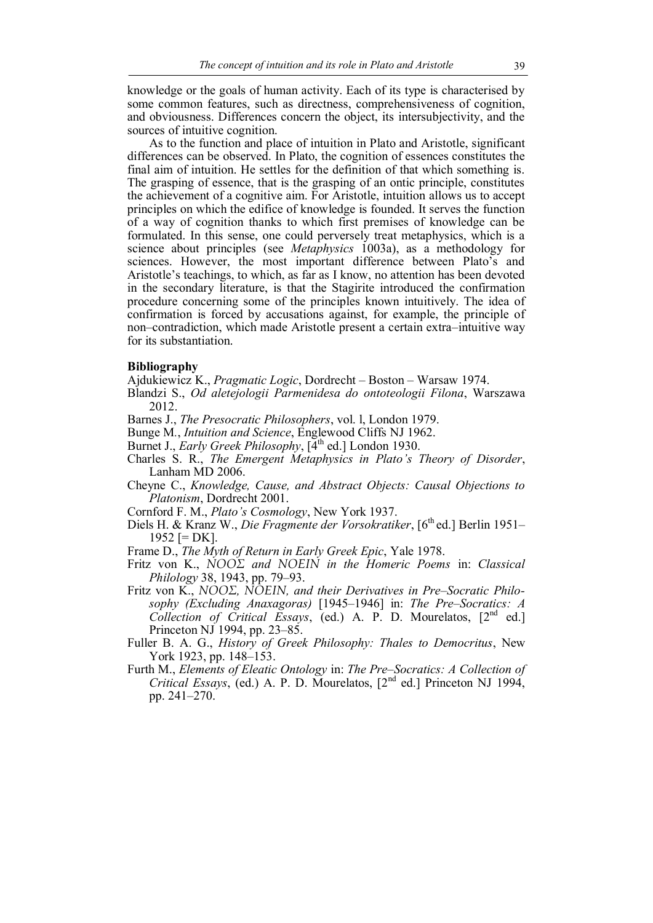knowledge or the goals of human activity. Each of its type is characterised by some common features, such as directness, comprehensiveness of cognition, and obviousness. Differences concern the object, its intersubjectivity, and the sources of intuitive cognition.

As to the function and place of intuition in Plato and Aristotle, significant differences can be observed. In Plato, the cognition of essences constitutes the final aim of intuition. He settles for the definition of that which something is. The grasping of essence, that is the grasping of an ontic principle, constitutes the achievement of a cognitive aim. For Aristotle, intuition allows us to accept principles on which the edifice of knowledge is founded. It serves the function of a way of cognition thanks to which first premises of knowledge can be formulated. In this sense, one could perversely treat metaphysics, which is a science about principles (see *Metaphysics* 1003a), as a methodology for sciences. However, the most important difference between Plato's and Aristotle's teachings, to which, as far as I know, no attention has been devoted in the secondary literature, is that the Stagirite introduced the confirmation procedure concerning some of the principles known intuitively. The idea of confirmation is forced by accusations against, for example, the principle of non–contradiction, which made Aristotle present a certain extra–intuitive way for its substantiation.

## **Bibliography**

Ajdukiewicz K., *Pragmatic Logic*, Dordrecht – Boston – Warsaw 1974.

- Blandzi S., *Od aletejologii Parmenidesa do ontoteologii Filona*, Warszawa 2012.
- Barnes J., *The Presocratic Philosophers*, vol. l, London 1979.
- Bunge M*.*, *Intuition and Science*, Englewood Cliffs NJ 1962.
- Burnet J., *Early Greek Philosophy*, [4<sup>th</sup> ed.] London 1930.
- Charles S. R., *The Emergent Metaphysics in Plato's Theory of Disorder*, Lanham MD 2006.
- Cheyne C., *Knowledge, Cause, and Abstract Objects: Causal Objections to Platonism*, Dordrecht 2001.
- Cornford F. M., *Plato's Cosmology*, New York 1937.
- Diels H. & Kranz W., *Die Fragmente der Vorsokratiker*, [6<sup>th</sup> ed.] Berlin 1951–  $1952$  [= DK].
- Frame D., *The Myth of Return in Early Greek Epic*, Yale 1978.
- Fritz von K., *ΝΟΟΣ and ΝΟΕΙΝ in the Homeric Poems* in: *Classical Philology* 38, 1943, pp. 79–93.
- Fritz von K., *ΝΟΟΣ, ΝΟΕΙΝ, and their Derivatives in Pre–Socratic Philosophy (Excluding Anaxagoras)* [1945–1946] in: *The Pre–Socratics: A Collection of Critical Essays*, (ed.) A. P. D. Mourelatos, [2<sup>nd</sup> ed.] Princeton NJ 1994, pp. 23–85.
- Fuller B. A. G., *History of Greek Philosophy: Thales to Democritus*, New York 1923, pp. 148–153.
- Furth M., *Elements of Eleatic Ontology* in: *The Pre–Socratics: A Collection of Critical Essays*, (ed.) A. P. D. Mourelatos, [2nd ed.] Princeton NJ 1994, pp. 241–270.